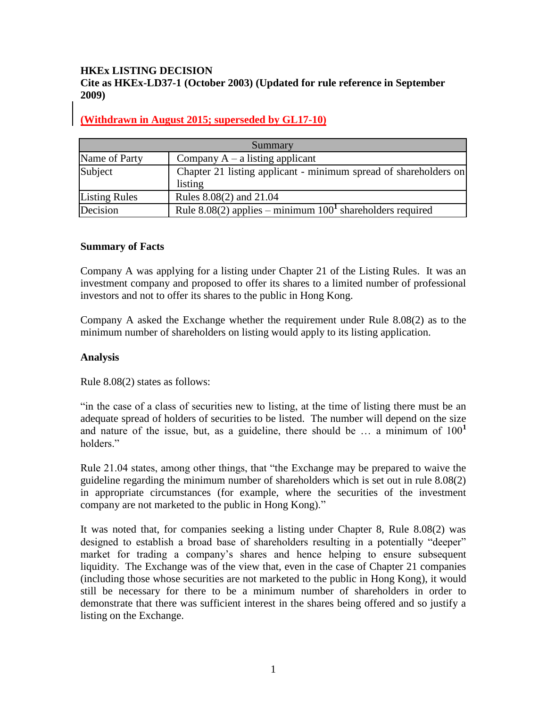### **HKEx LISTING DECISION Cite as HKEx-LD37-1 (October 2003) (Updated for rule reference in September 2009)**

# **(Withdrawn in August 2015; superseded by GL17-10)**

| Summary              |                                                                             |
|----------------------|-----------------------------------------------------------------------------|
| Name of Party        | Company $A - a$ listing applicant                                           |
| Subject              | Chapter 21 listing applicant - minimum spread of shareholders on<br>listing |
| <b>Listing Rules</b> | Rules 8.08(2) and 21.04                                                     |
| Decision             | Rule $8.08(2)$ applies – minimum $1001$ shareholders required               |

#### **Summary of Facts**

Company A was applying for a listing under Chapter 21 of the Listing Rules. It was an investment company and proposed to offer its shares to a limited number of professional investors and not to offer its shares to the public in Hong Kong.

Company A asked the Exchange whether the requirement under Rule 8.08(2) as to the minimum number of shareholders on listing would apply to its listing application.

#### **Analysis**

Rule 8.08(2) states as follows:

"in the case of a class of securities new to listing, at the time of listing there must be an adequate spread of holders of securities to be listed. The number will depend on the size and nature of the issue, but, as a guideline, there should be  $\ldots$  a minimum of  $100<sup>1</sup>$ holders."

Rule 21.04 states, among other things, that "the Exchange may be prepared to waive the guideline regarding the minimum number of shareholders which is set out in rule 8.08(2) in appropriate circumstances (for example, where the securities of the investment company are not marketed to the public in Hong Kong)."

It was noted that, for companies seeking a listing under Chapter 8, Rule 8.08(2) was designed to establish a broad base of shareholders resulting in a potentially "deeper" market for trading a company's shares and hence helping to ensure subsequent liquidity. The Exchange was of the view that, even in the case of Chapter 21 companies (including those whose securities are not marketed to the public in Hong Kong), it would still be necessary for there to be a minimum number of shareholders in order to demonstrate that there was sufficient interest in the shares being offered and so justify a listing on the Exchange.